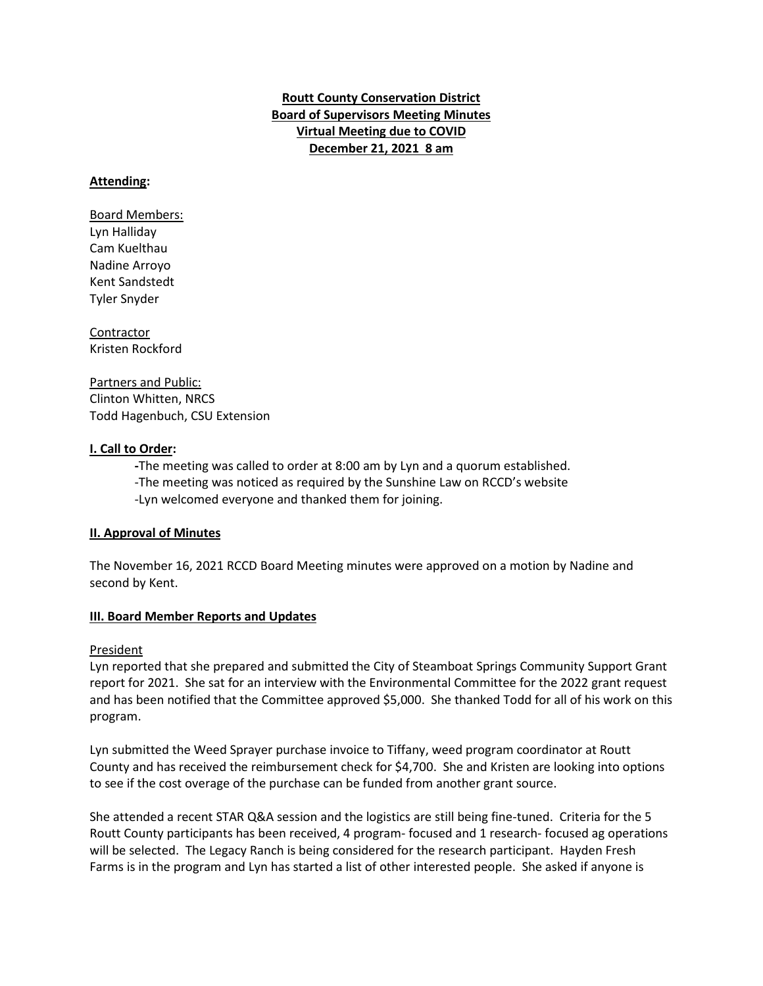**Routt County Conservation District Board of Supervisors Meeting Minutes Virtual Meeting due to COVID December 21, 2021 8 am**

### **Attending:**

Board Members: Lyn Halliday Cam Kuelthau Nadine Arroyo Kent Sandstedt Tyler Snyder

**Contractor** Kristen Rockford

Partners and Public: Clinton Whitten, NRCS Todd Hagenbuch, CSU Extension

### **I. Call to Order:**

**-**The meeting was called to order at 8:00 am by Lyn and a quorum established. -The meeting was noticed as required by the Sunshine Law on RCCD's website -Lyn welcomed everyone and thanked them for joining.

#### **II. Approval of Minutes**

The November 16, 2021 RCCD Board Meeting minutes were approved on a motion by Nadine and second by Kent.

#### **III. Board Member Reports and Updates**

#### President

Lyn reported that she prepared and submitted the City of Steamboat Springs Community Support Grant report for 2021. She sat for an interview with the Environmental Committee for the 2022 grant request and has been notified that the Committee approved \$5,000. She thanked Todd for all of his work on this program.

Lyn submitted the Weed Sprayer purchase invoice to Tiffany, weed program coordinator at Routt County and has received the reimbursement check for \$4,700. She and Kristen are looking into options to see if the cost overage of the purchase can be funded from another grant source.

She attended a recent STAR Q&A session and the logistics are still being fine-tuned. Criteria for the 5 Routt County participants has been received, 4 program- focused and 1 research- focused ag operations will be selected. The Legacy Ranch is being considered for the research participant. Hayden Fresh Farms is in the program and Lyn has started a list of other interested people. She asked if anyone is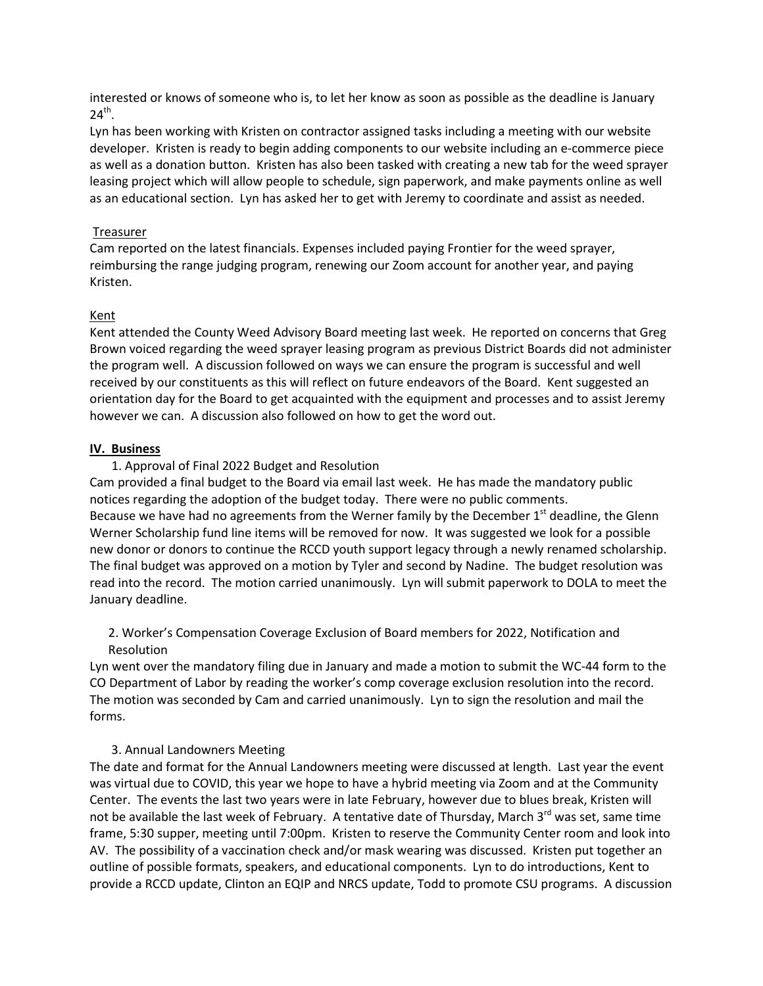interested or knows of someone who is, to let her know as soon as possible as the deadline is January  $24<sup>th</sup>$ .

Lyn has been working with Kristen on contractor assigned tasks including a meeting with our website developer. Kristen is ready to begin adding components to our website including an e-commerce piece as well as a donation button. Kristen has also been tasked with creating a new tab for the weed sprayer leasing project which will allow people to schedule, sign paperwork, and make payments online as well as an educational section. Lyn has asked her to get with Jeremy to coordinate and assist as needed.

## Treasurer

Cam reported on the latest financials. Expenses included paying Frontier for the weed sprayer, reimbursing the range judging program, renewing our Zoom account for another year, and paying Kristen.

## Kent

Kent attended the County Weed Advisory Board meeting last week. He reported on concerns that Greg Brown voiced regarding the weed sprayer leasing program as previous District Boards did not administer the program well. A discussion followed on ways we can ensure the program is successful and well received by our constituents as this will reflect on future endeavors of the Board. Kent suggested an orientation day for the Board to get acquainted with the equipment and processes and to assist Jeremy however we can. A discussion also followed on how to get the word out.

### **IV. Business**

### 1. Approval of Final 2022 Budget and Resolution

Cam provided a final budget to the Board via email last week. He has made the mandatory public notices regarding the adoption of the budget today. There were no public comments. Because we have had no agreements from the Werner family by the December  $1<sup>st</sup>$  deadline, the Glenn Werner Scholarship fund line items will be removed for now. It was suggested we look for a possible new donor or donors to continue the RCCD youth support legacy through a newly renamed scholarship. The final budget was approved on a motion by Tyler and second by Nadine. The budget resolution was read into the record. The motion carried unanimously. Lyn will submit paperwork to DOLA to meet the January deadline.

2. Worker's Compensation Coverage Exclusion of Board members for 2022, Notification and Resolution

Lyn went over the mandatory filing due in January and made a motion to submit the WC-44 form to the CO Department of Labor by reading the worker's comp coverage exclusion resolution into the record. The motion was seconded by Cam and carried unanimously. Lyn to sign the resolution and mail the forms.

## 3. Annual Landowners Meeting

The date and format for the Annual Landowners meeting were discussed at length. Last year the event was virtual due to COVID, this year we hope to have a hybrid meeting via Zoom and at the Community Center. The events the last two years were in late February, however due to blues break, Kristen will not be available the last week of February. A tentative date of Thursday, March  $3^{rd}$  was set, same time frame, 5:30 supper, meeting until 7:00pm. Kristen to reserve the Community Center room and look into AV. The possibility of a vaccination check and/or mask wearing was discussed. Kristen put together an outline of possible formats, speakers, and educational components. Lyn to do introductions, Kent to provide a RCCD update, Clinton an EQIP and NRCS update, Todd to promote CSU programs. A discussion